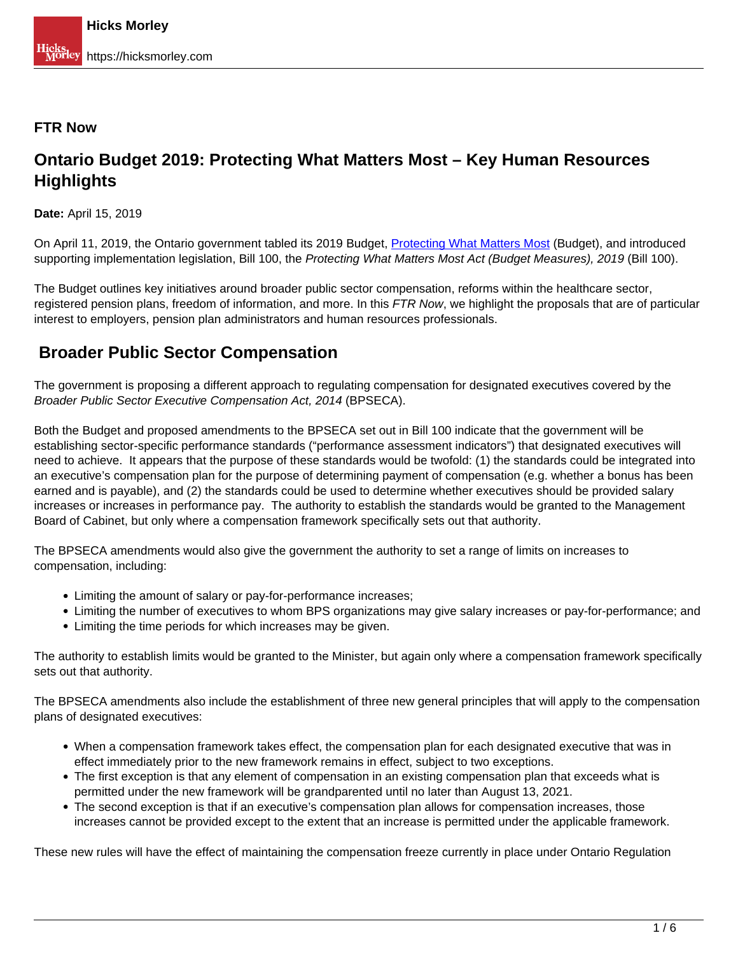#### **FTR Now**

## **Ontario Budget 2019: Protecting What Matters Most – Key Human Resources Highlights**

**Date:** April 15, 2019

On April 11, 2019, the Ontario government tabled its 2019 Budget, [Protecting What Matters Most](http://budget.ontario.ca/2019/contents.html) (Budget), and introduced supporting implementation legislation, Bill 100, the Protecting What Matters Most Act (Budget Measures), 2019 (Bill 100).

The Budget outlines key initiatives around broader public sector compensation, reforms within the healthcare sector, registered pension plans, freedom of information, and more. In this FTR Now, we highlight the proposals that are of particular interest to employers, pension plan administrators and human resources professionals.

## **Broader Public Sector Compensation**

The government is proposing a different approach to regulating compensation for designated executives covered by the Broader Public Sector Executive Compensation Act, 2014 (BPSECA).

Both the Budget and proposed amendments to the BPSECA set out in Bill 100 indicate that the government will be establishing sector-specific performance standards ("performance assessment indicators") that designated executives will need to achieve. It appears that the purpose of these standards would be twofold: (1) the standards could be integrated into an executive's compensation plan for the purpose of determining payment of compensation (e.g. whether a bonus has been earned and is payable), and (2) the standards could be used to determine whether executives should be provided salary increases or increases in performance pay. The authority to establish the standards would be granted to the Management Board of Cabinet, but only where a compensation framework specifically sets out that authority.

The BPSECA amendments would also give the government the authority to set a range of limits on increases to compensation, including:

- Limiting the amount of salary or pay-for-performance increases;
- Limiting the number of executives to whom BPS organizations may give salary increases or pay-for-performance; and
- Limiting the time periods for which increases may be given.

The authority to establish limits would be granted to the Minister, but again only where a compensation framework specifically sets out that authority.

The BPSECA amendments also include the establishment of three new general principles that will apply to the compensation plans of designated executives:

- When a compensation framework takes effect, the compensation plan for each designated executive that was in effect immediately prior to the new framework remains in effect, subject to two exceptions.
- The first exception is that any element of compensation in an existing compensation plan that exceeds what is permitted under the new framework will be grandparented until no later than August 13, 2021.
- The second exception is that if an executive's compensation plan allows for compensation increases, those increases cannot be provided except to the extent that an increase is permitted under the applicable framework.

These new rules will have the effect of maintaining the compensation freeze currently in place under Ontario Regulation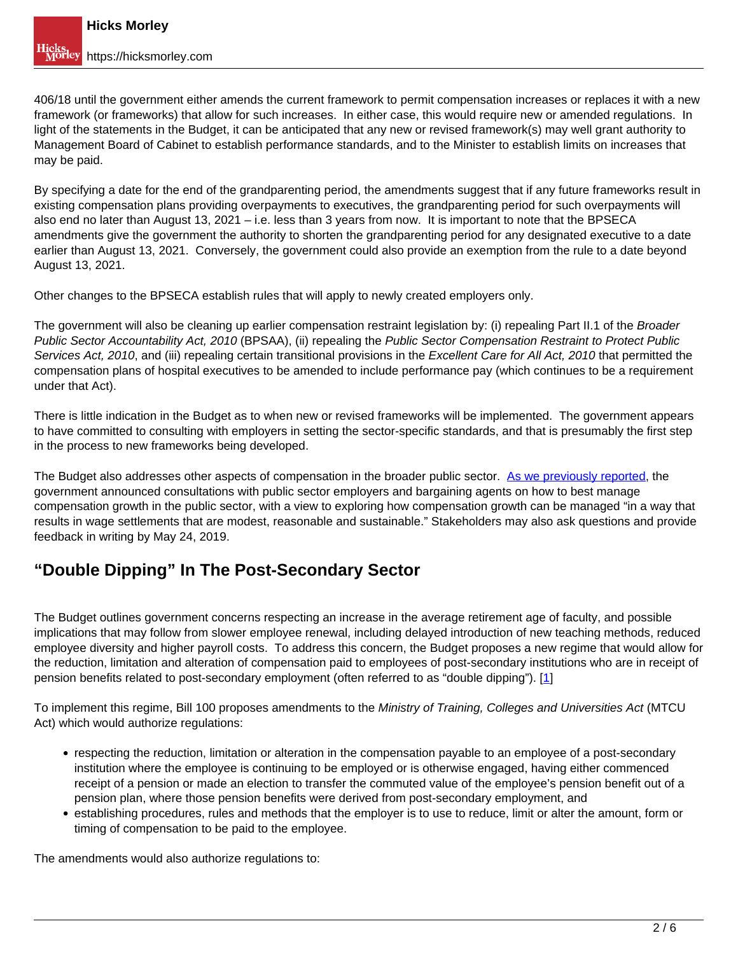406/18 until the government either amends the current framework to permit compensation increases or replaces it with a new framework (or frameworks) that allow for such increases. In either case, this would require new or amended regulations. In light of the statements in the Budget, it can be anticipated that any new or revised framework(s) may well grant authority to Management Board of Cabinet to establish performance standards, and to the Minister to establish limits on increases that may be paid.

By specifying a date for the end of the grandparenting period, the amendments suggest that if any future frameworks result in existing compensation plans providing overpayments to executives, the grandparenting period for such overpayments will also end no later than August 13, 2021 – i.e. less than 3 years from now. It is important to note that the BPSECA amendments give the government the authority to shorten the grandparenting period for any designated executive to a date earlier than August 13, 2021. Conversely, the government could also provide an exemption from the rule to a date beyond August 13, 2021.

Other changes to the BPSECA establish rules that will apply to newly created employers only.

The government will also be cleaning up earlier compensation restraint legislation by: (i) repealing Part II.1 of the Broader Public Sector Accountability Act, 2010 (BPSAA), (ii) repealing the Public Sector Compensation Restraint to Protect Public Services Act, 2010, and (iii) repealing certain transitional provisions in the Excellent Care for All Act, 2010 that permitted the compensation plans of hospital executives to be amended to include performance pay (which continues to be a requirement under that Act).

There is little indication in the Budget as to when new or revised frameworks will be implemented. The government appears to have committed to consulting with employers in setting the sector-specific standards, and that is presumably the first step in the process to new frameworks being developed.

The Budget also addresses other aspects of compensation in the broader public sector. As we previously reported, the government announced consultations with public sector employers and bargaining agents on how to best manage compensation growth in the public sector, with a view to exploring how compensation growth can be managed "in a way that results in wage settlements that are modest, reasonable and sustainable." Stakeholders may also ask questions and provide feedback in writing by May 24, 2019.

# **"Double Dipping" In The Post-Secondary Sector**

The Budget outlines government concerns respecting an increase in the average retirement age of faculty, and possible implications that may follow from slower employee renewal, including delayed introduction of new teaching methods, reduced employee diversity and higher payroll costs. To address this concern, the Budget proposes a new regime that would allow for the reduction, limitation and alteration of compensation paid to employees of post-secondary institutions who are in receipt of pension benefits related to post-secondary employment (often referred to as "double dipping"). [1]

To implement this regime, Bill 100 proposes amendments to the Ministry of Training, Colleges and Universities Act (MTCU Act) which would authorize regulations:

- respecting the reduction, limitation or alteration in the compensation payable to an employee of a post-secondary institution where the employee is continuing to be employed or is otherwise engaged, having either commenced receipt of a pension or made an election to transfer the commuted value of the employee's pension benefit out of a pension plan, where those pension benefits were derived from post-secondary employment, and
- establishing procedures, rules and methods that the employer is to use to reduce, limit or alter the amount, form or timing of compensation to be paid to the employee.

The amendments would also authorize regulations to: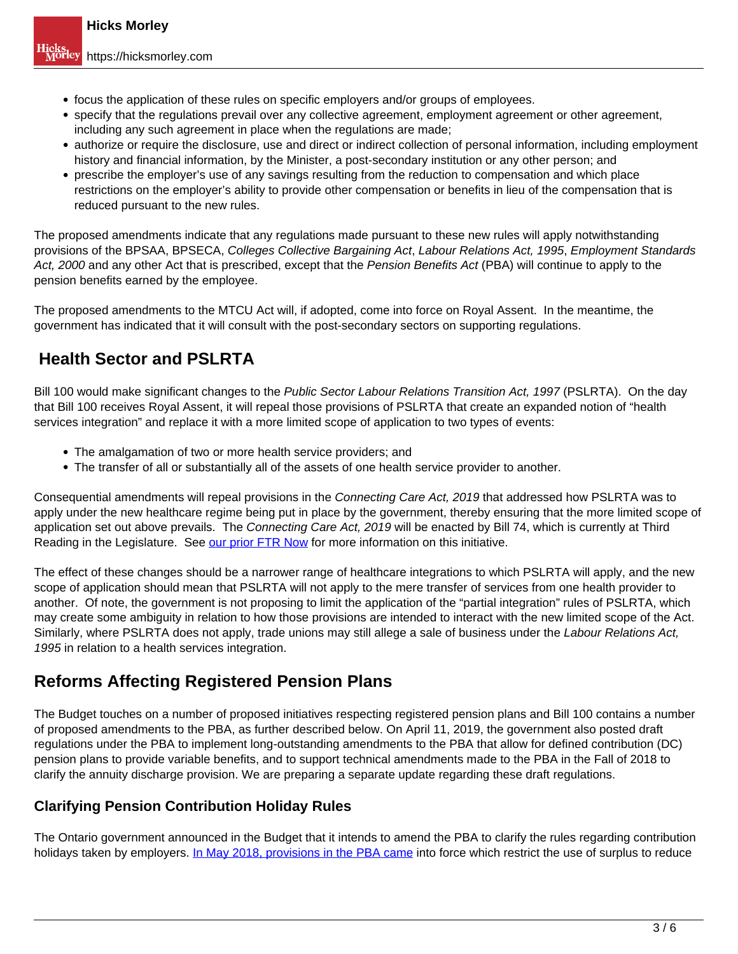- focus the application of these rules on specific employers and/or groups of employees.
- specify that the regulations prevail over any collective agreement, employment agreement or other agreement, including any such agreement in place when the regulations are made;
- authorize or require the disclosure, use and direct or indirect collection of personal information, including employment history and financial information, by the Minister, a post-secondary institution or any other person; and
- prescribe the employer's use of any savings resulting from the reduction to compensation and which place restrictions on the employer's ability to provide other compensation or benefits in lieu of the compensation that is reduced pursuant to the new rules.

The proposed amendments indicate that any regulations made pursuant to these new rules will apply notwithstanding provisions of the BPSAA, BPSECA, Colleges Collective Bargaining Act, Labour Relations Act, 1995, Employment Standards Act, 2000 and any other Act that is prescribed, except that the Pension Benefits Act (PBA) will continue to apply to the pension benefits earned by the employee.

The proposed amendments to the MTCU Act will, if adopted, come into force on Royal Assent. In the meantime, the government has indicated that it will consult with the post-secondary sectors on supporting regulations.

## **Health Sector and PSLRTA**

Bill 100 would make significant changes to the Public Sector Labour Relations Transition Act, 1997 (PSLRTA). On the day that Bill 100 receives Royal Assent, it will repeal those provisions of PSLRTA that create an expanded notion of "health services integration" and replace it with a more limited scope of application to two types of events:

- The amalgamation of two or more health service providers; and
- The transfer of all or substantially all of the assets of one health service provider to another.

Consequential amendments will repeal provisions in the Connecting Care Act, 2019 that addressed how PSLRTA was to apply under the new healthcare regime being put in place by the government, thereby ensuring that the more limited scope of application set out above prevails. The Connecting Care Act, 2019 will be enacted by Bill 74, which is currently at Third Reading in the Legislature. See our prior FTR Now for more information on this initiative.

The effect of these changes should be a narrower range of healthcare integrations to which PSLRTA will apply, and the new scope of application should mean that PSLRTA will not apply to the mere transfer of services from one health provider to another. Of note, the government is not proposing to limit the application of the "partial integration" rules of PSLRTA, which may create some ambiguity in relation to how those provisions are intended to interact with the new limited scope of the Act. Similarly, where PSLRTA does not apply, trade unions may still allege a sale of business under the Labour Relations Act, 1995 in relation to a health services integration.

## **Reforms Affecting Registered Pension Plans**

The Budget touches on a number of proposed initiatives respecting registered pension plans and Bill 100 contains a number of proposed amendments to the PBA, as further described below. On April 11, 2019, the government also posted draft regulations under the PBA to implement long-outstanding amendments to the PBA that allow for defined contribution (DC) pension plans to provide variable benefits, and to support technical amendments made to the PBA in the Fall of 2018 to clarify the annuity discharge provision. We are preparing a separate update regarding these draft regulations.

#### **Clarifying Pension Contribution Holiday Rules**

The Ontario government announced in the Budget that it intends to amend the PBA to clarify the rules regarding contribution holidays taken by employers. In May 2018, provisions in the PBA came into force which restrict the use of surplus to reduce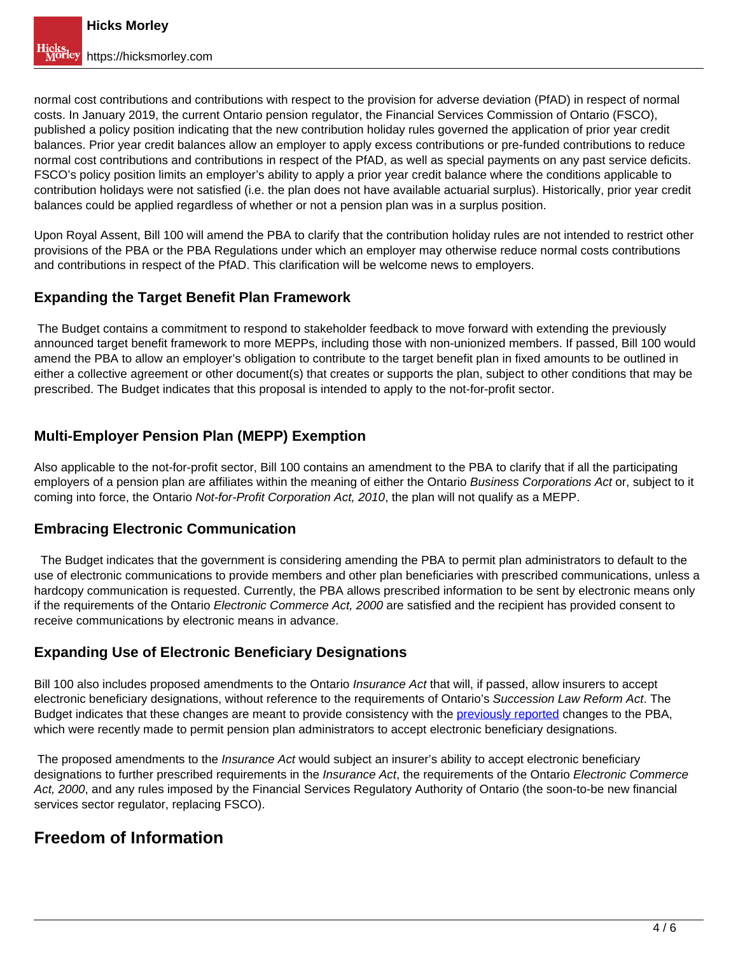normal cost contributions and contributions with respect to the provision for adverse deviation (PfAD) in respect of normal costs. In January 2019, the current Ontario pension regulator, the Financial Services Commission of Ontario (FSCO), published a policy position indicating that the new contribution holiday rules governed the application of prior year credit balances. Prior year credit balances allow an employer to apply excess contributions or pre-funded contributions to reduce normal cost contributions and contributions in respect of the PfAD, as well as special payments on any past service deficits. FSCO's policy position limits an employer's ability to apply a prior year credit balance where the conditions applicable to contribution holidays were not satisfied (i.e. the plan does not have available actuarial surplus). Historically, prior year credit balances could be applied regardless of whether or not a pension plan was in a surplus position.

Upon Royal Assent, Bill 100 will amend the PBA to clarify that the contribution holiday rules are not intended to restrict other provisions of the PBA or the PBA Regulations under which an employer may otherwise reduce normal costs contributions and contributions in respect of the PfAD. This clarification will be welcome news to employers.

#### **Expanding the Target Benefit Plan Framework**

 The Budget contains a commitment to respond to stakeholder feedback to move forward with extending the previously announced target benefit framework to more MEPPs, including those with non-unionized members. If passed, Bill 100 would amend the PBA to allow an employer's obligation to contribute to the target benefit plan in fixed amounts to be outlined in either a collective agreement or other document(s) that creates or supports the plan, subject to other conditions that may be prescribed. The Budget indicates that this proposal is intended to apply to the not-for-profit sector.

### **Multi-Employer Pension Plan (MEPP) Exemption**

Also applicable to the not-for-profit sector, Bill 100 contains an amendment to the PBA to clarify that if all the participating employers of a pension plan are affiliates within the meaning of either the Ontario Business Corporations Act or, subject to it coming into force, the Ontario Not-for-Profit Corporation Act, 2010, the plan will not qualify as a MEPP.

#### **Embracing Electronic Communication**

 The Budget indicates that the government is considering amending the PBA to permit plan administrators to default to the use of electronic communications to provide members and other plan beneficiaries with prescribed communications, unless a hardcopy communication is requested. Currently, the PBA allows prescribed information to be sent by electronic means only if the requirements of the Ontario Electronic Commerce Act, 2000 are satisfied and the recipient has provided consent to receive communications by electronic means in advance.

### **Expanding Use of Electronic Beneficiary Designations**

Bill 100 also includes proposed amendments to the Ontario *Insurance Act* that will, if passed, allow insurers to accept electronic beneficiary designations, without reference to the requirements of Ontario's Succession Law Reform Act. The Budget indicates that these changes are meant to provide consistency with the previously reported changes to the PBA, which were recently made to permit pension plan administrators to accept electronic beneficiary designations.

The proposed amendments to the *Insurance Act* would subject an insurer's ability to accept electronic beneficiary designations to further prescribed requirements in the *Insurance Act*, the requirements of the Ontario Electronic Commerce Act, 2000, and any rules imposed by the Financial Services Regulatory Authority of Ontario (the soon-to-be new financial services sector regulator, replacing FSCO).

### **Freedom of Information**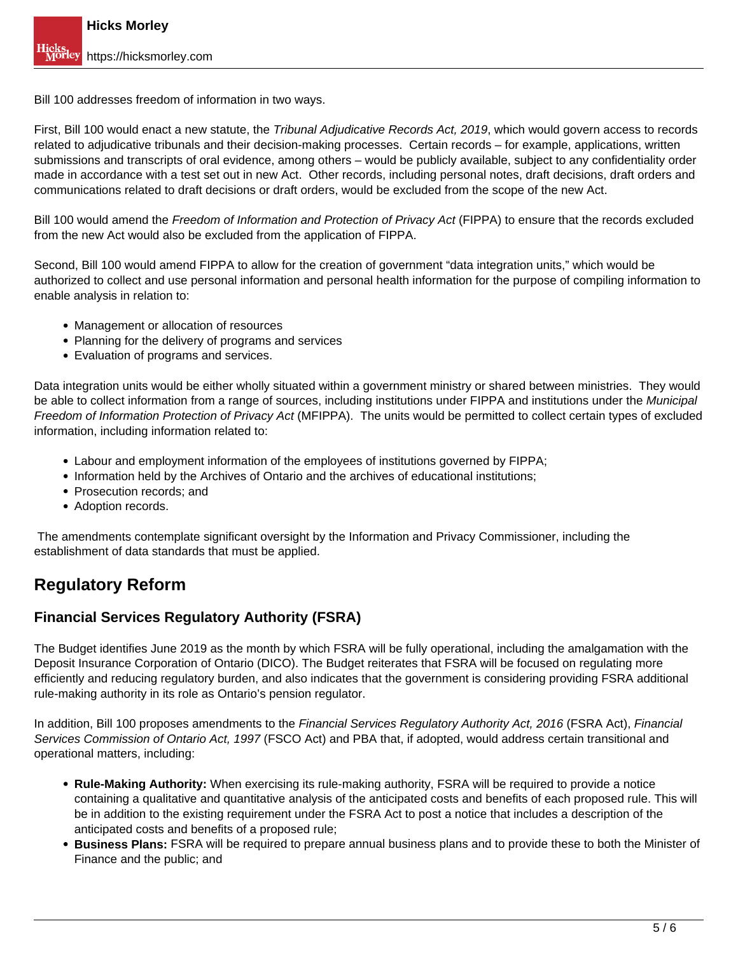Bill 100 addresses freedom of information in two ways.

First, Bill 100 would enact a new statute, the Tribunal Adjudicative Records Act, 2019, which would govern access to records related to adjudicative tribunals and their decision-making processes. Certain records – for example, applications, written submissions and transcripts of oral evidence, among others – would be publicly available, subject to any confidentiality order made in accordance with a test set out in new Act. Other records, including personal notes, draft decisions, draft orders and communications related to draft decisions or draft orders, would be excluded from the scope of the new Act.

Bill 100 would amend the Freedom of Information and Protection of Privacy Act (FIPPA) to ensure that the records excluded from the new Act would also be excluded from the application of FIPPA.

Second, Bill 100 would amend FIPPA to allow for the creation of government "data integration units," which would be authorized to collect and use personal information and personal health information for the purpose of compiling information to enable analysis in relation to:

- Management or allocation of resources
- Planning for the delivery of programs and services
- Evaluation of programs and services.

Data integration units would be either wholly situated within a government ministry or shared between ministries. They would be able to collect information from a range of sources, including institutions under FIPPA and institutions under the Municipal Freedom of Information Protection of Privacy Act (MFIPPA). The units would be permitted to collect certain types of excluded information, including information related to:

- Labour and employment information of the employees of institutions governed by FIPPA;
- Information held by the Archives of Ontario and the archives of educational institutions;
- Prosecution records; and
- Adoption records.

 The amendments contemplate significant oversight by the Information and Privacy Commissioner, including the establishment of data standards that must be applied.

### **Regulatory Reform**

#### **Financial Services Regulatory Authority (FSRA)**

The Budget identifies June 2019 as the month by which FSRA will be fully operational, including the amalgamation with the Deposit Insurance Corporation of Ontario (DICO). The Budget reiterates that FSRA will be focused on regulating more efficiently and reducing regulatory burden, and also indicates that the government is considering providing FSRA additional rule-making authority in its role as Ontario's pension regulator.

In addition, Bill 100 proposes amendments to the Financial Services Regulatory Authority Act, 2016 (FSRA Act), Financial Services Commission of Ontario Act, 1997 (FSCO Act) and PBA that, if adopted, would address certain transitional and operational matters, including:

- **Rule-Making Authority:** When exercising its rule-making authority, FSRA will be required to provide a notice containing a qualitative and quantitative analysis of the anticipated costs and benefits of each proposed rule. This will be in addition to the existing requirement under the FSRA Act to post a notice that includes a description of the anticipated costs and benefits of a proposed rule;
- **Business Plans:** FSRA will be required to prepare annual business plans and to provide these to both the Minister of Finance and the public; and